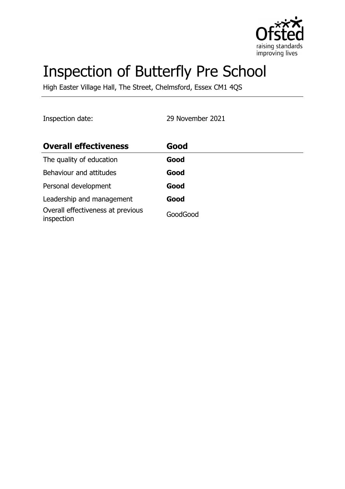

# Inspection of Butterfly Pre School

High Easter Village Hall, The Street, Chelmsford, Essex CM1 4QS

Inspection date: 29 November 2021

| <b>Overall effectiveness</b>                    | Good     |
|-------------------------------------------------|----------|
| The quality of education                        | Good     |
| Behaviour and attitudes                         | Good     |
| Personal development                            | Good     |
| Leadership and management                       | Good     |
| Overall effectiveness at previous<br>inspection | GoodGood |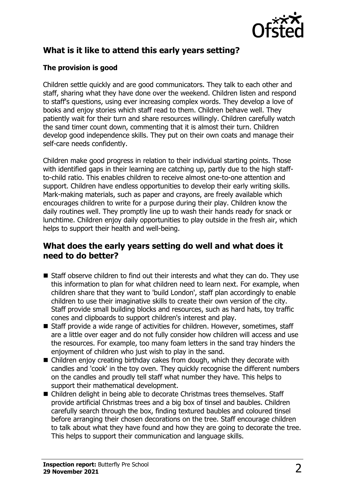

# **What is it like to attend this early years setting?**

## **The provision is good**

Children settle quickly and are good communicators. They talk to each other and staff, sharing what they have done over the weekend. Children listen and respond to staff's questions, using ever increasing complex words. They develop a love of books and enjoy stories which staff read to them. Children behave well. They patiently wait for their turn and share resources willingly. Children carefully watch the sand timer count down, commenting that it is almost their turn. Children develop good independence skills. They put on their own coats and manage their self-care needs confidently.

Children make good progress in relation to their individual starting points. Those with identified gaps in their learning are catching up, partly due to the high staffto-child ratio. This enables children to receive almost one-to-one attention and support. Children have endless opportunities to develop their early writing skills. Mark-making materials, such as paper and crayons, are freely available which encourages children to write for a purpose during their play. Children know the daily routines well. They promptly line up to wash their hands ready for snack or lunchtime. Children enjoy daily opportunities to play outside in the fresh air, which helps to support their health and well-being.

## **What does the early years setting do well and what does it need to do better?**

- $\blacksquare$  Staff observe children to find out their interests and what they can do. They use this information to plan for what children need to learn next. For example, when children share that they want to 'build London', staff plan accordingly to enable children to use their imaginative skills to create their own version of the city. Staff provide small building blocks and resources, such as hard hats, toy traffic cones and clipboards to support children's interest and play.
- Staff provide a wide range of activities for children. However, sometimes, staff are a little over eager and do not fully consider how children will access and use the resources. For example, too many foam letters in the sand tray hinders the enjoyment of children who just wish to play in the sand.
- $\blacksquare$  Children enjoy creating birthday cakes from dough, which they decorate with candles and 'cook' in the toy oven. They quickly recognise the different numbers on the candles and proudly tell staff what number they have. This helps to support their mathematical development.
- Children delight in being able to decorate Christmas trees themselves. Staff provide artificial Christmas trees and a big box of tinsel and baubles. Children carefully search through the box, finding textured baubles and coloured tinsel before arranging their chosen decorations on the tree. Staff encourage children to talk about what they have found and how they are going to decorate the tree. This helps to support their communication and language skills.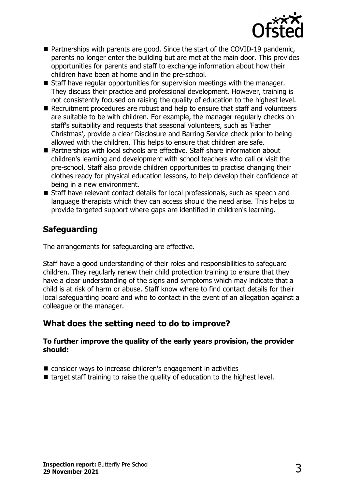

- $\blacksquare$  Partnerships with parents are good. Since the start of the COVID-19 pandemic, parents no longer enter the building but are met at the main door. This provides opportunities for parents and staff to exchange information about how their children have been at home and in the pre-school.
- $\blacksquare$  Staff have regular opportunities for supervision meetings with the manager. They discuss their practice and professional development. However, training is not consistently focused on raising the quality of education to the highest level.
- Recruitment procedures are robust and help to ensure that staff and volunteers are suitable to be with children. For example, the manager regularly checks on staff's suitability and requests that seasonal volunteers, such as 'Father Christmas', provide a clear Disclosure and Barring Service check prior to being allowed with the children. This helps to ensure that children are safe.
- Partnerships with local schools are effective. Staff share information about children's learning and development with school teachers who call or visit the pre-school. Staff also provide children opportunities to practise changing their clothes ready for physical education lessons, to help develop their confidence at being in a new environment.
- Staff have relevant contact details for local professionals, such as speech and language therapists which they can access should the need arise. This helps to provide targeted support where gaps are identified in children's learning.

# **Safeguarding**

The arrangements for safeguarding are effective.

Staff have a good understanding of their roles and responsibilities to safeguard children. They regularly renew their child protection training to ensure that they have a clear understanding of the signs and symptoms which may indicate that a child is at risk of harm or abuse. Staff know where to find contact details for their local safeguarding board and who to contact in the event of an allegation against a colleague or the manager.

# **What does the setting need to do to improve?**

#### **To further improve the quality of the early years provision, the provider should:**

- consider ways to increase children's engagement in activities
- $\blacksquare$  target staff training to raise the quality of education to the highest level.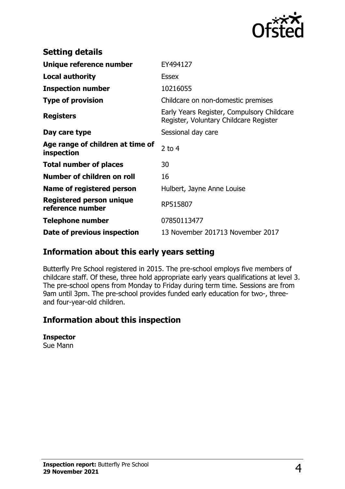

| <b>Setting details</b>                         |                                                                                      |
|------------------------------------------------|--------------------------------------------------------------------------------------|
| Unique reference number                        | EY494127                                                                             |
| <b>Local authority</b>                         | <b>Essex</b>                                                                         |
| <b>Inspection number</b>                       | 10216055                                                                             |
| <b>Type of provision</b>                       | Childcare on non-domestic premises                                                   |
| <b>Registers</b>                               | Early Years Register, Compulsory Childcare<br>Register, Voluntary Childcare Register |
| Day care type                                  | Sessional day care                                                                   |
| Age range of children at time of<br>inspection | 2 to $4$                                                                             |
| <b>Total number of places</b>                  | 30                                                                                   |
| Number of children on roll                     | 16                                                                                   |
| Name of registered person                      | Hulbert, Jayne Anne Louise                                                           |
| Registered person unique<br>reference number   | RP515807                                                                             |
| <b>Telephone number</b>                        | 07850113477                                                                          |
| Date of previous inspection                    | 13 November 201713 November 2017                                                     |

# **Information about this early years setting**

Butterfly Pre School registered in 2015. The pre-school employs five members of childcare staff. Of these, three hold appropriate early years qualifications at level 3. The pre-school opens from Monday to Friday during term time. Sessions are from 9am until 3pm. The pre-school provides funded early education for two-, threeand four-year-old children.

# **Information about this inspection**

#### **Inspector**

Sue Mann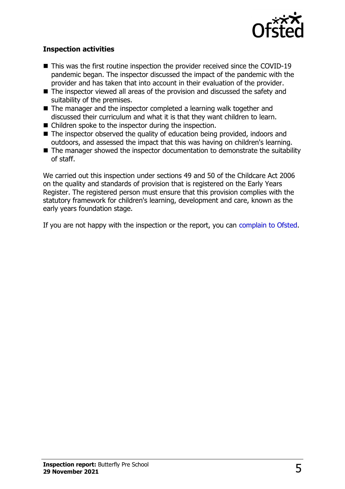

### **Inspection activities**

- $\blacksquare$  This was the first routine inspection the provider received since the COVID-19 pandemic began. The inspector discussed the impact of the pandemic with the provider and has taken that into account in their evaluation of the provider.
- $\blacksquare$  The inspector viewed all areas of the provision and discussed the safety and suitability of the premises.
- $\blacksquare$  The manager and the inspector completed a learning walk together and discussed their curriculum and what it is that they want children to learn.
- $\blacksquare$  Children spoke to the inspector during the inspection.
- The inspector observed the quality of education being provided, indoors and outdoors, and assessed the impact that this was having on children's learning.
- $\blacksquare$  The manager showed the inspector documentation to demonstrate the suitability of staff.

We carried out this inspection under sections 49 and 50 of the Childcare Act 2006 on the quality and standards of provision that is registered on the Early Years Register. The registered person must ensure that this provision complies with the statutory framework for children's learning, development and care, known as the early years foundation stage.

If you are not happy with the inspection or the report, you can [complain to Ofsted](http://www.gov.uk/complain-ofsted-report).